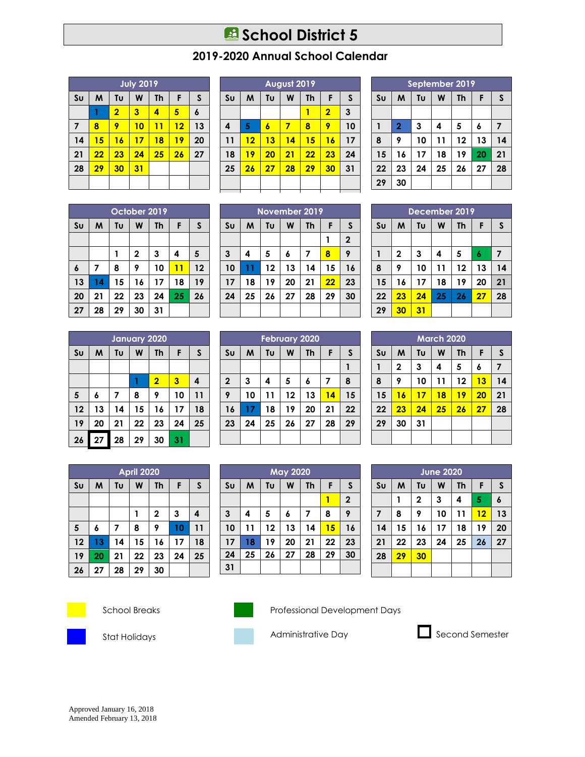## **B** School District 5

## **2019-2020 Annual School Calendar**

| <b>July 2019</b> |    |                |    |    |    |                  |
|------------------|----|----------------|----|----|----|------------------|
| S <sub>U</sub>   | M  | Tu             | W  | Th | F  | S                |
|                  |    | $\overline{2}$ | 3  | 4  | 5  | $\boldsymbol{6}$ |
| 7                | 8  | 9              | 10 | 11 | 12 | 13               |
| 14               | 15 | 16             | 17 | 18 | 19 | 20               |
| 21               | 22 | 23             | 24 | 25 | 26 | 27               |
| 28               | 29 | 30             | 31 |    |    |                  |
|                  |    |                |    |    |    |                  |

|                | August 2019 |    |    |    |                         |              |
|----------------|-------------|----|----|----|-------------------------|--------------|
| S <sub>U</sub> | M           | Tu | W  | Th | F                       | S            |
|                |             |    |    |    | $\overline{\mathbf{2}}$ | $\mathbf{3}$ |
| 4              | 5           | 6  | 7  | 8  | 9                       | 10           |
| 11             | 12          | 13 | 14 | 15 | 16                      | 17           |
| 18             | 19          | 20 | 21 | 22 | 23                      | 24           |
| 25             | 26          | 27 | 28 | 29 | 30                      | 31           |
|                |             |    |    |    |                         |              |
|                |             |    |    |    |                         |              |

| September 2019 |                |    |    |    |    |    |
|----------------|----------------|----|----|----|----|----|
| S <sub>U</sub> | M              | Tυ | W  | Th | F  | S  |
|                |                |    |    |    |    |    |
|                | $\overline{2}$ | 3  | 4  | 5  | 6  | 7  |
| 8              | 9              | 10 | 11 | 12 | 13 | 14 |
| 15             | 16             | 17 | 18 | 19 | 20 | 21 |
| 22             | 23             | 24 | 25 | 26 | 27 | 28 |
| 29             | 30             |    |    |    |    |    |

|                | October 2019 |    |             |    |    |    |
|----------------|--------------|----|-------------|----|----|----|
| S <sub>U</sub> | M            | Tu | W           | Th | F  | S  |
|                |              |    |             |    |    |    |
|                |              |    | $\mathbf 2$ | 3  | 4  | 5  |
| 6              | 7            | 8  | 9           | 10 | 11 | 12 |
| 13             | 14           | 15 | 16          | 17 | 18 | 19 |
| 20             | 21           | 22 | 23          | 24 | 25 | 26 |
| 27             | 28           | 29 | 30          | 31 |    |    |

| <b>January 2020</b> |    |                         |    |                         |    |    |
|---------------------|----|-------------------------|----|-------------------------|----|----|
| S <sub>U</sub>      | M  | Tu<br>W<br>F<br>S<br>Th |    |                         |    |    |
|                     |    |                         |    |                         |    |    |
|                     |    |                         |    | $\overline{\mathbf{2}}$ | 3  | 4  |
| 5                   | 6  | 7                       | 8  | 9                       | 10 | 11 |
| 12                  | 13 | 14                      | 15 | 16                      | 17 | 18 |
| 19                  | 20 | 21                      | 22 | 23                      | 24 | 25 |
| 26                  | 27 | 28                      | 29 | 30                      | 31 |    |

| April 2020     |    |    |    |              |    |              |
|----------------|----|----|----|--------------|----|--------------|
| S <sub>U</sub> | M  | Tυ | W  | Th           | F  | $\mathsf{s}$ |
|                |    |    |    |              |    |              |
|                |    |    |    | $\mathbf{2}$ | 3  | 4            |
| 5              | 6  | 7  | 8  | 9            | 10 | 11           |
| 12             | 13 | 14 | 15 | 16           | 17 | 18           |
| 19             | 20 | 21 | 22 | 23           | 24 | 25           |
| 26             | 27 | 28 | 29 | 30           |    |              |



|                | <b>February 2020</b> |    |    |    |                |    |
|----------------|----------------------|----|----|----|----------------|----|
| S <sub>U</sub> | M                    | Tυ | W  | Th | F              | S  |
|                |                      |    |    |    |                |    |
| $\mathbf{2}$   | 3                    | 4  | 5  | 6  | $\overline{ }$ | 8  |
| 9              | 10                   | 11 | 12 | 13 | 14             | 15 |
| 16             | 17                   | 18 | 19 | 20 | 21             | 22 |
| 23             | 24                   | 25 | 26 | 27 | 28             | 29 |
|                |                      |    |    |    |                |    |

| <b>May 2020</b> |    |    |    |           |    |                |
|-----------------|----|----|----|-----------|----|----------------|
| S <sub>U</sub>  | M  | Tu | W  | <b>Th</b> | F  | $\mathsf{s}$   |
|                 |    |    |    |           |    | $\overline{2}$ |
| $\mathbf{3}$    | 4  | 5  | 6  | 7         | 8  | 9              |
| 10              | 11 | 12 | 13 | 14        | 15 | 16             |
| 17              | 18 | 19 | 20 | 21        | 22 | 23             |
| 24              | 25 | 26 | 27 | 28        | 29 | 30             |
| 31              |    |    |    |           |    |                |

|                | December 2019 |    |    |    |    |    |
|----------------|---------------|----|----|----|----|----|
| S <sub>U</sub> | M             | Tυ | W  | Th | F  | S  |
|                |               |    |    |    |    |    |
|                | $\mathbf{2}$  | 3  | 4  | 5  | 6  | 7  |
| 8              | 9             | 10 | 11 | 12 | 13 | 14 |
| 15             | 16            | 17 | 18 | 19 | 20 | 21 |
| 22             | 23            | 24 | 25 | 26 | 27 | 28 |
| 29             | 30            | 31 |    |    |    |    |

| <b>March 2020</b> |             |    |    |           |    |              |
|-------------------|-------------|----|----|-----------|----|--------------|
| S <sub>U</sub>    | M           | Tυ | W  | <b>Th</b> | F  | $\mathsf{s}$ |
| 1                 | $\mathbf 2$ | 3  | 4  | 5         | 6  | 7            |
| 8                 | 9           | 10 | 11 | 12        | 13 | 14           |
| 15                | 16          | 17 | 18 | 19        | 20 | 21           |
| 22                | 23          | 24 | 25 | 26        | 27 | 28           |
| 29                | 30          | 31 |    |           |    |              |
|                   |             |    |    |           |    |              |

| <b>June 2020</b> |    |              |    |           |    |              |
|------------------|----|--------------|----|-----------|----|--------------|
| S <sub>U</sub>   | M  | Tυ           | W  | <b>Th</b> | F  | $\mathsf{s}$ |
|                  |    | $\mathbf{2}$ | 3  | 4         | 5  | 6            |
| $\overline{7}$   | 8  | 9            | 10 | 11        | 12 | 13           |
| 14               | 15 | 16           | 17 | 18        | 19 | 20           |
| 21               | 22 | 23           | 24 | 25        | 26 | 27           |
| 28               | 29 | 30           |    |           |    |              |
|                  |    |              |    |           |    |              |





School Breaks Professional Development Days







Amended February 13, 2018